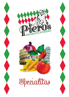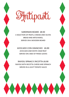



SARDINIAN BOARD £8.50 A SELECTION OF MEATS, CHEESES AND OLIVES BREAD AND ARTICHOKES, SERVED ON A WOODEN BOARD

AVOCADO CON GRANCHIO £6.90 AVOCADO AND WHITE CRAB MEAT SERVED ON A BED OF MIXED LEAVES

RAVIOLI SPINACI E RICOTTA £6.90 RAVIOLI WITH RICOTTA CHEESE AND SPINACH SERVED IN A LIGHT TOMATO SAUCE

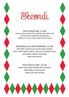



DUO TORTELLONI £14.90 TORTELLONI STUFFED WITH LOBSTER AND TORTELLONI STUFFED WITH MONKFISH AND PRAWNS SERVED IN A LIGHT GARLIC AND TOMATO SAUCE

BRANZINO ALLA MEDITERRANEA £16.90 PAN FRIED LARGE FILLET OF SEA BASS COOKED WITH WHITE WINE, GARLIC, TOUCH OF TOMATO SAUCE AND FRESH CHERRY TOMATOES, BASIL AND OLIVES

> PIZZA DELLO CHEF £12.50 CRISPY PIZZA BASE TOPPED WITH TOMATO, MOZZARELLA, DOLCELATTE, RADICCHIO AND SALAMI